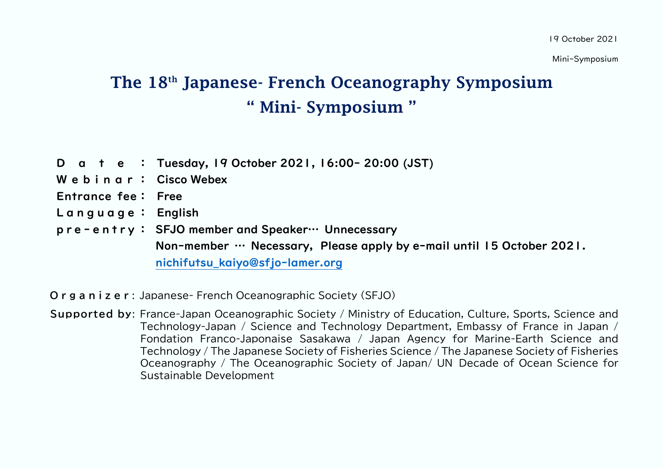Mini-Symposium

## The 18th Japanese- French Oceanography Symposium " Mini- Symposium "

- D a t e : Tuesday, 19 October 2021, 16:00- 20:00 (JST)
- W e b i n a r : Cisco Webex
- Entrance fee: Free
- Language: English
- p r e e n t r y : SFJO member and Speaker… Unnecessary Non-member … Necessary, Please apply by e-mail until 15 October 2021. [nichifutsu\\_kaiyo@sfjo-lamer.org](file:///G:/cymodocea/documents/2021/日仏海洋学会/10月19日/１０月１９日/10月19日ミニシンポ1002hnd/nichifutsu_kaiyo@sfjo-lamer.org)

**O r g a n i z e r** : Japanese- French Oceanographic Society (SFJO)

**Supported by**: France-Japan Oceanographic Society / Ministry of Education, Culture, Sports, Science and Technology-Japan / Science and Technology Department, Embassy of France in Japan / Fondation Franco-Japonaise Sasakawa / Japan Agency for Marine-Earth Science and Technology / The Japanese Society of Fisheries Science / The Japanese Society of Fisheries Oceanography / The Oceanographic Society of Japan/ UN Decade of Ocean Science for Sustainable Development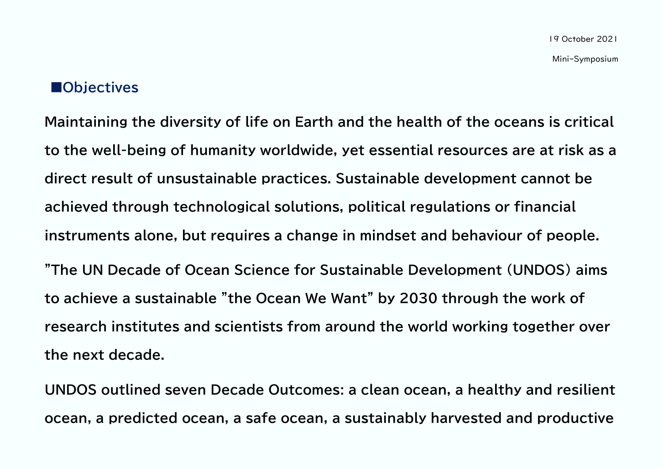## **■Objectives**

**Maintaining the diversity of life on Earth and the health of the oceans is critical to the well-being of humanity worldwide, yet essential resources are at risk as a direct result of unsustainable practices. Sustainable development cannot be achieved through technological solutions, political regulations or financial instruments alone, but requires a change in mindset and behaviour of people. "The UN Decade of Ocean Science for Sustainable Development (UNDOS) aims to achieve a sustainable "the Ocean We Want" by 2030 through the work of research institutes and scientists from around the world working together over the next decade.**

**UNDOS outlined seven Decade Outcomes: a clean ocean, a healthy and resilient ocean, a predicted ocean, a safe ocean, a sustainably harvested and productive**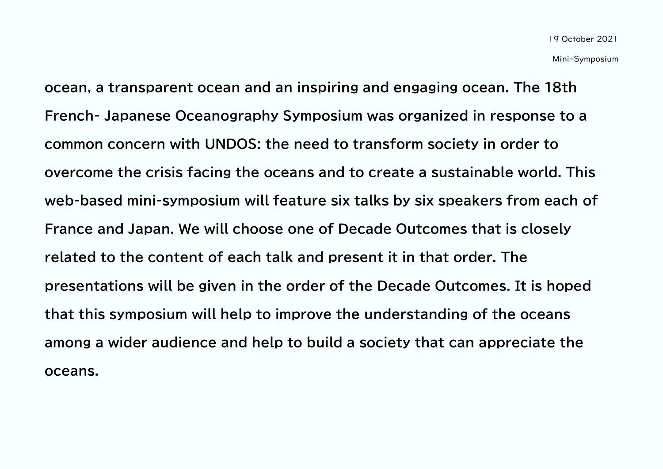**ocean, a transparent ocean and an inspiring and engaging ocean. The 18th French- Japanese Oceanography Symposium was organized in response to a common concern with UNDOS: the need to transform society in order to overcome the crisis facing the oceans and to create a sustainable world. This web-based mini-symposium will feature six talks by six speakers from each of France and Japan. We will choose one of Decade Outcomes that is closely related to the content of each talk and present it in that order. The presentations will be given in the order of the Decade Outcomes. It is hoped that this symposium will help to improve the understanding of the oceans among a wider audience and help to build a society that can appreciate the oceans.**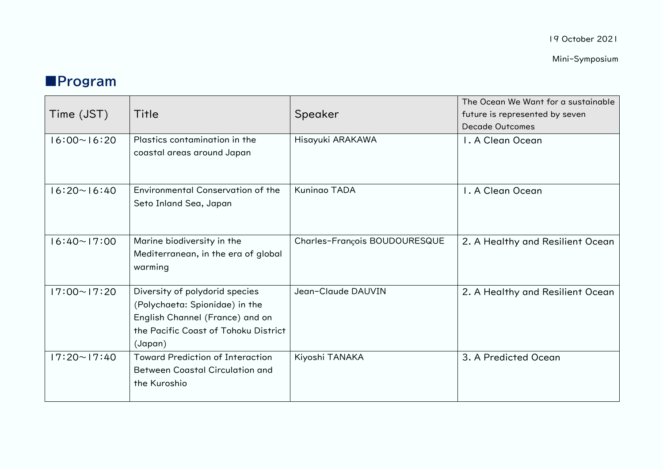19 October 2021

Mini-Symposium

## **■Program**

| Time (JST)         | Title                                                                                                                                                  | Speaker                       | The Ocean We Want for a sustainable<br>future is represented by seven<br><b>Decade Outcomes</b> |
|--------------------|--------------------------------------------------------------------------------------------------------------------------------------------------------|-------------------------------|-------------------------------------------------------------------------------------------------|
| $16:00 \sim 16:20$ | Plastics contamination in the<br>coastal areas around Japan                                                                                            | Hisayuki ARAKAWA              | I. A Clean Ocean                                                                                |
| $16:20 \sim 16:40$ | Environmental Conservation of the<br>Seto Inland Sea, Japan                                                                                            | <b>Kuningo TADA</b>           | I. A Clean Ocean                                                                                |
| $16:40 \sim 17:00$ | Marine biodiversity in the<br>Mediterranean, in the era of global<br>warming                                                                           | Charles-François BOUDOURESQUE | 2. A Healthy and Resilient Ocean                                                                |
| $17:00 \sim 17:20$ | Diversity of polydorid species<br>(Polychaeta: Spionidae) in the<br>English Channel (France) and on<br>the Pacific Coast of Tohoku District<br>(Japan) | Jean-Claude DAUVIN            | 2. A Healthy and Resilient Ocean                                                                |
| $17:20 \sim 17:40$ | <b>Toward Prediction of Interaction</b><br><b>Between Coastal Circulation and</b><br>the Kuroshio                                                      | Kiyoshi TANAKA                | 3. A Predicted Ocean                                                                            |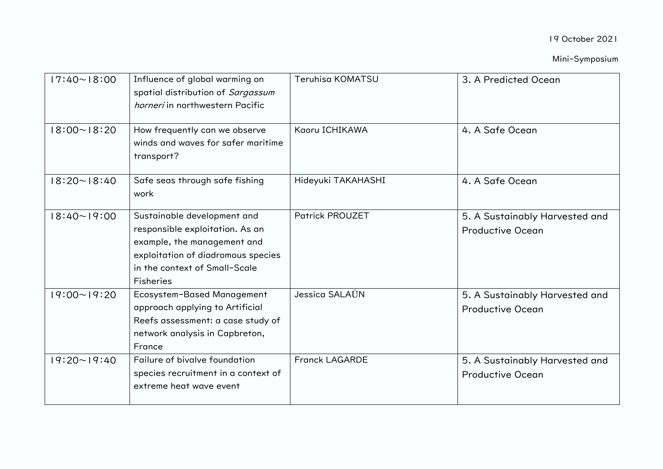| $17:40 \sim 18:00$ | Influence of global warming on<br>spatial distribution of Sargassum<br>horneri in northwestern Pacific                                                                                   | Teruhisa KOMATSU       | 3. A Predicted Ocean                                      |
|--------------------|------------------------------------------------------------------------------------------------------------------------------------------------------------------------------------------|------------------------|-----------------------------------------------------------|
| $18:00 \sim 18:20$ | How frequently can we observe<br>winds and waves for safer maritime<br>transport?                                                                                                        | Kaoru ICHIKAWA         | 4. A Safe Ocean                                           |
| $18:20 \sim 18:40$ | Safe seas through safe fishing<br>work                                                                                                                                                   | Hideyuki TAKAHASHI     | 4. A Safe Ocean                                           |
| $18:40 \sim 19:00$ | Sustainable development and<br>responsible exploitation. As an<br>example, the management and<br>exploitation of diadromous species<br>in the context of Small-Scale<br><b>Fisheries</b> | <b>Patrick PROUZET</b> | 5. A Sustainably Harvested and<br><b>Productive Ocean</b> |
| $19:00 \sim 19:20$ | Ecosystem-Based Management<br>approach applying to Artificial<br>Reefs assessment: a case study of<br>network analysis in Capbreton,<br>France                                           | Jessica SALAÜN         | 5. A Sustainably Harvested and<br><b>Productive Ocean</b> |
| $19:20 \sim 19:40$ | Failure of bivalve foundation<br>species recruitment in a context of<br>extreme heat wave event                                                                                          | <b>Franck LAGARDE</b>  | 5. A Sustainably Harvested and<br><b>Productive Ocean</b> |